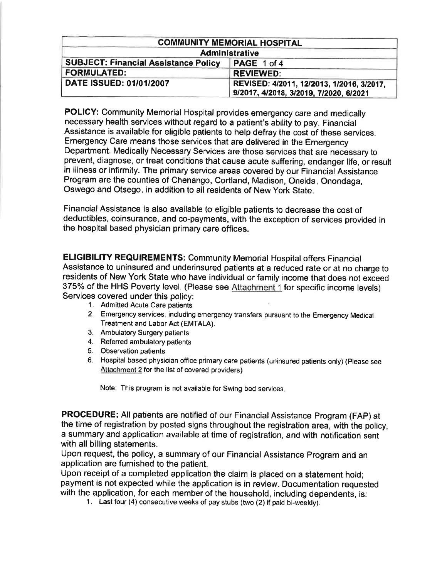|                                                            | <b>COMMUNITY MEMORIAL HOSPITAL</b>                                                  |  |  |
|------------------------------------------------------------|-------------------------------------------------------------------------------------|--|--|
|                                                            | <b>Administrative</b>                                                               |  |  |
| <b>SUBJECT: Financial Assistance Policy</b><br>PAGE 1 of 4 |                                                                                     |  |  |
| <b>FORMULATED:</b>                                         | <b>REVIEWED:</b>                                                                    |  |  |
| <b>DATE ISSUED: 01/01/2007</b>                             | REVISED: 4/2011, 12/2013, 1/2016, 3/2017,<br>9/2017, 4/2018, 3/2019, 7/2020, 6/2021 |  |  |

POLICY: Community Memorial Hospital provides emergency care and medically necessary health services without regard to a patient's ability to pay. Financial Assistance is available for eligible patients to help defray the cost of these services, Emergency Care means those services that are delivered in the Emergency Department. Medically Necessary Services are those services that are necessary to prevent, diagnose, or treat conditions that cause acute suffering, endanger life, or result in illness or infirmity. The primary service areas covered by our Financial Assistance Program are the counties of Chenango, Cortland, Madison, Oneida, Onondaga, Oswego and Otsego, in addition to all residents of New York State.

Financial Assistance is also available to eligible patients to decrease the cost of deductibles, coinsurance, and co-payments, with the exception of services provided in the hospital based physician primary care offices.

**ELIGIBILITY REQUIREMENTS: Community Memorial Hospital offers Financial** Assistance to uninsured and underinsured patients at a reduced rate or at no charge to residents of New York State who have individual or family income that does not exceed 375% of the HHS Poverty level. (Please see Attachment 1 for specific income levels) Services covered under this policy:

- 1. Admitted Acute Care patients
- 2. Emergency services, including emergency transfers pursuant to the Emergency Medical Treatment and Labor Act (EMTALA).
- 3. Ambulatory Surgery patients
- 4. Referred ambulatory patients
- 5. Observation patients
- 6. Hospital based physician office primary care patients (uninsured patients only) (Please see Attachment 2 for the list of covered providers)

Note: This program is not available for Swing bed services

PROCEDURE: All patients are notified of our Financial Assistance Program (FAP) at the time of registration by posted signs throughout the registration area, with the policy, a summary and application available at time of registration, and with notification sent with all billing statements.

Upon request, the policy, a summary of our Financial Assistance Program and an application are furnished to the patient.

Upon receipt of a completed application the claim is placed on a statement hold; payment is not expected while the application is in review. Documentation requested with the application, for each member of the household, including dependents, is:<br>1. Last four (4) consecutive weeks of pay stubs (two (2) if paid bi-weekly).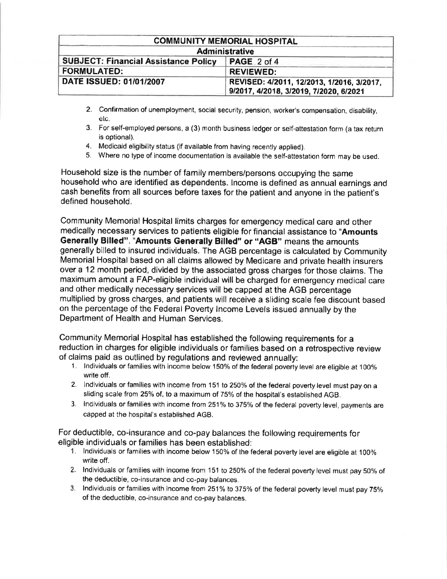|                                                                   | <b>COMMUNITY MEMORIAL HOSPITAL</b>                                                  |  |  |  |
|-------------------------------------------------------------------|-------------------------------------------------------------------------------------|--|--|--|
| <b>Administrative</b>                                             |                                                                                     |  |  |  |
| <b>SUBJECT: Financial Assistance Policy</b><br><b>PAGE 2 of 4</b> |                                                                                     |  |  |  |
| <b>FORMULATED:</b>                                                | <b>REVIEWED:</b>                                                                    |  |  |  |
| <b>DATE ISSUED: 01/01/2007</b>                                    | REVISED: 4/2011, 12/2013, 1/2016, 3/2017,<br>9/2017, 4/2018, 3/2019, 7/2020, 6/2021 |  |  |  |

- 2. Confirmation of unemployment, social security, pension, worker's compensation, disability, etc.
- 3. For self-employed persons, a (3) month buslness ledger or self-attestation form (a tax return is optional).
- 4. Medicaid eligibility status (if available from having recently applied).
- 5. Where no type of income documentation is available the self-attestation form may be used.

Household size is the number of family members/persons occupying the same household who are identified as dependents. lncome is defined as annual earnings and cash benefits from all sources before taxes for the patient and anyone in the patient's defined household.

Community Memorial Hospital limits charges for emergency medical care and other medically necessary services to patients eligible for financial assistance to "Amounts Generally Billed". "Amounts Generally Billed" or "AGB" means the amounts generally billed to insured individuals. The AGB percentage is calculated by Community Memorial Hospital based on all claims allowed by Medicare and private health insurers over a 12 month period, divided by the associated gross charges for those claims. The maximum amount a FAP-eligible individual will be charged for emergency medical care and other medically necessary services will be capped at the AGB percentage multiplied by gross charges, and patients will receive a sliding scale fee discount based on the percentage of the Federal Poverty lncome Levels issued annually by the Department of Health and Human Services,

Community Memorial Hospital has established the following requirements for a reduction in charges for eligible individuals or farnilies based on a retrospective review of claims paid as outlined by regulations and reviewed annually:

- 1. Individuals or families with income below 150% of the federal poverty level are eligible at 100% write off.
- 2. Individuals or families with income from 151 to 250% of the federal poverty level must pay on a sliding scale from 25% of, to a maximum of 75% of the hospital's established AGB.
- 3. Individuals or families with income from 251% to 375% of the federal poverty level, payments are capged at the hospital's established AGB.

For deductible, co-insurance and co-pay balances the following requirements for eligible individuals or families has been established:

- 1. lndividuals or families with income below 150% of the federal poverty level are eligible at 100% write off.
- 2. Individuals or families with income from 151 to 250% of the federal poverty level must pay 50% of the deductible, co-insurance and co-pay balances,
- 3. Individuals or families with income from 251% to 375% of the federal poverty level must pay 75% of the deductible, co-insurance and co-pay balances.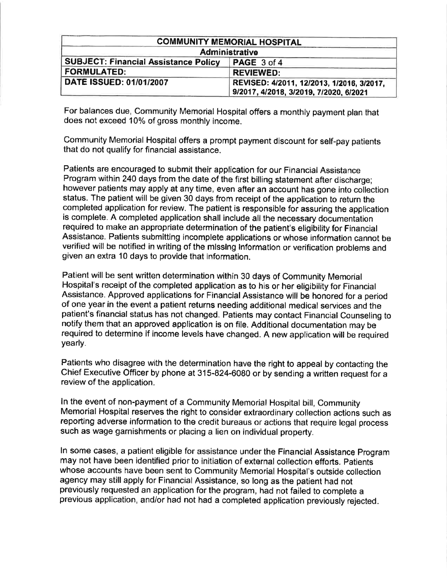|                                                            | <b>COMMUNITY MEMORIAL HOSPITAL</b>                                                  |  |  |  |
|------------------------------------------------------------|-------------------------------------------------------------------------------------|--|--|--|
| Administrative                                             |                                                                                     |  |  |  |
| <b>SUBJECT: Financial Assistance Policy</b><br>PAGE 3 of 4 |                                                                                     |  |  |  |
| <b>FORMULATED:</b>                                         | <b>REVIEWED:</b>                                                                    |  |  |  |
| <b>DATE ISSUED: 01/01/2007</b>                             | REVISED: 4/2011, 12/2013, 1/2016, 3/2017,<br>9/2017, 4/2018, 3/2019, 7/2020, 6/2021 |  |  |  |

For balances due, Community Memorial Hospital offers a monthly payment plan that does not exceed 10% of gross monthly income.

Community Memorial Hospital otfers a prompt payment discount for self-pay patients that do not qualify for financial assistance.

Patients are encouraged to submit their application for our Financial Assistance Program within 240 days from the date of the first billing statement after discharge; however patients may apply at any time, even after an account has gone into collection status. The patient will be given 30 days from receipt of the application to return the completed application for review. The patient is responsible for assuring the application is complete. A completed application shall include all the necessary documentation required to make an appropriate determination of the patient's eligibility for Financial Assistance. Patients submitting incomplete applications or whose information cannot be verified will be notified in writing of the mlsslng lnformatlon or verification problems and given an extra 10 days to provide that information.

Patient will be sent written determination within 30 days of Community Memorial Hospital's receipt of the completed application as to his or her eligibility for Financial Assistance. Approved applications for Financial Assistance will be honored for a period of one year in the event a patient returns needing additional medical services and the patient's financial status has not changed. Patients may contact Financial Counseling to notify them that an approved application is on file, Additional documentation may be required to determine if income levels have changed. A new application will be required yearly.

Patients who disagree with the determination have the right to appeal by contacting the Chief Executive Officer by phone at 315-824-6080 or by sending a written request for a review of the application.

ln the event of non-payment of a Community Memorial Hospital bill, Community Memorial Hospital reserves the right to consider extraordinary collection actions such as reporting adverse information to the credit bureaus or actions that require legal process such as wage garnishments or placing a lien on individual property.

ln some cases, a patient eligible for assistance under the Financial Assistance Program may not have been identified prior to initiation of external collection efforts. Patients whose accounts have been sent to Community Memorial Hospital's outside collection agency may still apply for Financial Assistance, so long as the patient had not previously requested an application for the program, had not failed to complete <sup>a</sup> previous application, and/or had not had a completed application previously rejected.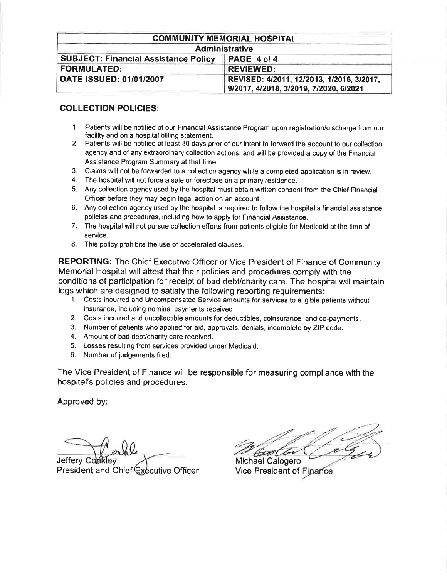|                                                            | <b>COMMUNITY MEMORIAL HOSPITAL</b>                                                  |  |  |  |
|------------------------------------------------------------|-------------------------------------------------------------------------------------|--|--|--|
| <b>Administrative</b>                                      |                                                                                     |  |  |  |
| <b>SUBJECT: Financial Assistance Policy</b><br>PAGE 4 of 4 |                                                                                     |  |  |  |
| <b>FORMULATED:</b>                                         | <b>REVIEWED:</b>                                                                    |  |  |  |
| <b>DATE ISSUED: 01/01/2007</b>                             | REVISED: 4/2011, 12/2013, 1/2016, 3/2017,<br>9/2017, 4/2018, 3/2019, 7/2020, 6/2021 |  |  |  |

# COLLECTION POLICIES:

- 1. Patients will be notified of our Financial Assistance Program upon registration/discharge from our facility and on a hospital billing statement.
- 2. Patients will be notified at least 30 days prior of our intent to forward the account to our collection agency and of any extraordinary collection actions, and will be provided a copy of the Financial Assistance Program Summary at that time.
- 3. Claims will not be forwarded to a collection agency while a compleied application is in review.
- 4. The hospital will not force a sale or foreclose on a primary residence.
- 5. Any collection agency used by the hospital must obtain written consent from the Chief Financial Officer before they may begin legal action on an account.
- 6. Any collection agency used by the hospital is required to follow the hospital's financial assistance policies and procedures, including how to apply for Financial Assistance.
- 7. The hospital will not pursue collection efforts from patients eligible for Medicaid at the time of service,
- 8. This policy prohibits the use of accelerated clauses.

REPORTING: The Chief Executive Officer or Vice President of Finance of Community Memorial Hospital will attest that their policies and procedures comply with the conditions of participation for receipt of bad debt/charity care. The hospital will maintain logs which are designed to satisfy the following reporting requirements:

- 1. Costs incurred and Uncompensated Service amounts for services to eligible patients without insurance, including nominal payments received.
- 2. Costs incurred and uncollectible amounts for deductibles, coinsurance, and co-payments.
- 3. Number of patients who applied for aid, approvals, denials, incornplete by ZIP code.
- 4. Amount of bad debt/charity care received.
- 5. Losses resulting from services provided under Medicaid.
- 0. Nurnber of judgements filed,

The Vice President of Finance will be responsible for measuring compliance with the hospital's policies and procedures.

Approved by:

Jeffery Coakley The Michael Calogero President and Chief Executive Officer Vice President of Finance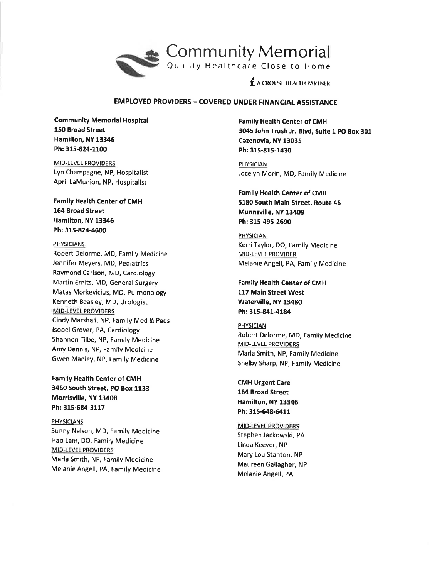

 $f_{\rm L}$  a crouse health partner

### EMPLOYED PROVIDERS - COVERED UNDER FINANCIAL ASSISTANCE

Community Memorial Hospital 150 Broad Street Hamilton, NY 13345 Ph: 315-824-1100

**MID-LEVEL PROVIDERS** Lyn Champagne, NP, Hospitalist April LaMunion. NP, Hospitalist

Family Health Center of CMH 164 Broad Street Hamilton, NY 13346 Ph: 315-824-4600

### PHYSICIANS.

Robert Delorme, MD, Family Medicine Jennifer Meyers, MD, Pediatrics Raymond Carlson, MD, Cardiology Martin Ernits, MD, General Surgery Matas Morkevicius, MD, Pulmonology Kenneth Beasley, MD, Urologist MID-LEVEL PROVIDERS Cindy Marshall, NP, Family Med & Peds lsobel Grover, PA, Cardiology Shannon Tilbe, NP, Family Medicine Amy Dennis, NP, Family Medicine Gwen Manley, NP, Family Medicine

Family Health Center of CMH 3450 South Street, PO Box 1133 Morrisville, NY 13408 Ph: 315-68a-3117

**PHYSICIANS** Sunny Nelson, MD, Family Medicine Hao Lam, DO, Family Medicine **MID-LEVEL PROVIDERS** Marla Smith, NP, Family Medicine Melanie Angell, PA, Family Medicine Family Health Center of CMH 3045 John Trush Jr. Blvd, Suite 1 PO Box 301 Cazenovia, NY 13035 Ph:315-815-1430

PHYSICIAN Jocelyn Morin, MD, Family Medicine

## Family Health Center of CMH 5180 South Main Street, Route 46 Munnsville, NY 13409 Ph; 315-495-2690

PHYSICIAN Kerri Taylor, DO, Family Medicine MID.LEVEL PROVIDER Melanie Angell, PA, Family Medicine

Family Health Center of CMH 117 Main Street West Waterville, NY 13480 Ph: 315-841-4184

PHYSICIAN Robert Delorme, MD, Family Medicine MID-LEVEL PROVIDERS Marla Smith, NP, Family Medicine Shelby Sharp, NP, Family Medicine

**CMH Urgent Care** 154 Eroad Street Hamilton, NY 13346 Ph: 315-548-6411

MID-LEVEL PROVIDERS Stephen Jackowski, PA Linda Keever, NP Mary Lou Stanton, NP Maureen Gallagher, NP Melanie Angell, PA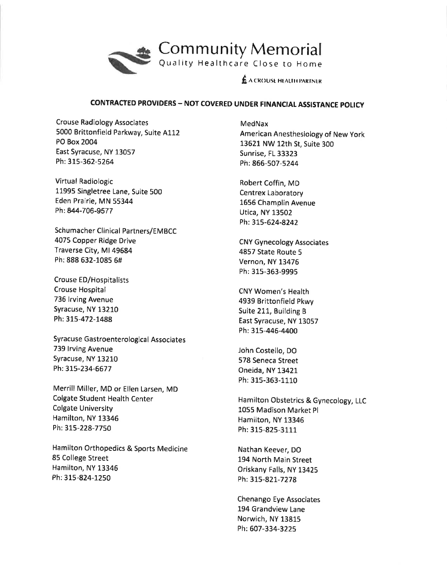

# CONTRACTED PROVIDERS - NOT COVERED UNDER FINANCIAL ASSISTANCE POLICY

Crouse Radiology Associates 5000 Brittonfield Parkway, Suite 4112 PO Box 2004 East Syracuse, NY 13057 Ph: 315-362-5264

Virtual Radiologic 11995 Singletree Lane, Suite 500 Eden Prairie, MN 55344 Ph:844-706-9577

Schumacher Clinical Partners/EMBCC 4075 Copper Ridge Drive Traverse City, Ml 49684 Ph: 888 632-1085 5#

Crouse ED/Hospitalists Crouse Hospital 736 lrving Avenue Syracuse, NY 13210 Ph: 315-472-1488

Syracuse Gastroenterological Associates 739 lrving Avenue Syracuse, NY 13210 Ph:315-234-6677

Merrill Miller, MD or Ellen Larsen, MD Colgate Student Health Center Colgate University Hamilton, NY 13346 Ph: 315-228-7750

Hamilton Orthopedics & Sports Medicine 85 College Street Hamilton, NY 13346 Ph:315-824-1250

MedNax American Anesthesiology of New york 73621NW 12th St, Suite 300 Sunrise, FL 33323 Ph:866-507-5244

Robert Coffin, MD Centrex Laboratory L656 Champlin Avenue Utica, NY 13502 Ph:315-624-8242

CNY Gyneco logy Associates 4857 State Route 5 Vernon, NY 13476 Ph: 315-363-9995

CNY Women's Health 4939 Brittonfield Pkwy Suite 211, Building <sup>B</sup> East Syracuse, NY 13057 Ph: 315-446-4400

John Costello, DO 578 Seneca Street Oneida, NY 13421 Ph: 315-363-L110

Hamilton Obstetrics & Gynecology, LLC 1055 Madison Market Pl Hamilton, NY 13345 Ph: 315-825-3111

Nathan Keever, DO 194 North Main Street Oriskany Falls, NY L3425 Ph:315-821-7278

Chenango Eye Associates 194 Grandview Lane Norwich, NY 13815 Ph:607-334-322s